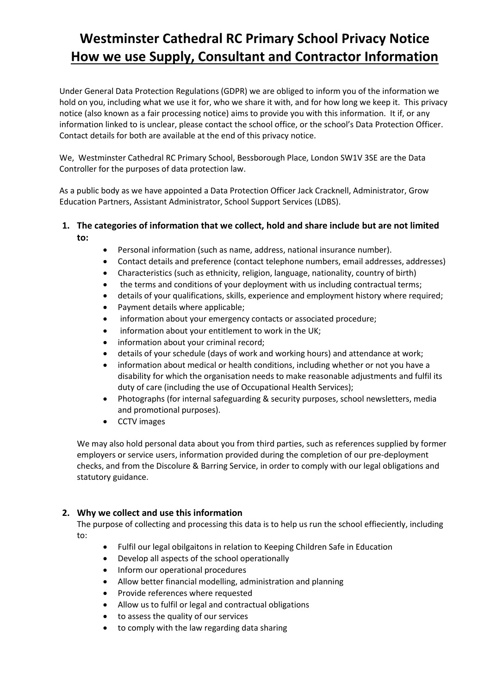# **Westminster Cathedral RC Primary School Privacy Notice How we use Supply, Consultant and Contractor Information**

Under General Data Protection Regulations (GDPR) we are obliged to inform you of the information we hold on you, including what we use it for, who we share it with, and for how long we keep it. This privacy notice (also known as a fair processing notice) aims to provide you with this information. It if, or any information linked to is unclear, please contact the school office, or the school's Data Protection Officer. Contact details for both are available at the end of this privacy notice.

We, Westminster Cathedral RC Primary School, Bessborough Place, London SW1V 3SE are the Data Controller for the purposes of data protection law.

As a public body as we have appointed a Data Protection Officer Jack Cracknell, Administrator, Grow Education Partners, Assistant Administrator, School Support Services (LDBS).

# **1. The categories of information that we collect, hold and share include but are not limited**

**to:**

- Personal information (such as name, address, national insurance number).
- Contact details and preference (contact telephone numbers, email addresses, addresses)
- Characteristics (such as ethnicity, religion, language, nationality, country of birth)
- the terms and conditions of your deployment with us including contractual terms;
- details of your qualifications, skills, experience and employment history where required;
- Payment details where applicable;
- information about your emergency contacts or associated procedure;
- information about your entitlement to work in the UK;
- information about your criminal record;
- details of your schedule (days of work and working hours) and attendance at work;
- information about medical or health conditions, including whether or not you have a disability for which the organisation needs to make reasonable adjustments and fulfil its duty of care (including the use of Occupational Health Services);
- Photographs (for internal safeguarding & security purposes, school newsletters, media and promotional purposes).
- CCTV images

We may also hold personal data about you from third parties, such as references supplied by former employers or service users, information provided during the completion of our pre-deployment checks, and from the Discolure & Barring Service, in order to comply with our legal obligations and statutory guidance.

## **2. Why we collect and use this information**

The purpose of collecting and processing this data is to help us run the school effieciently, including to:

- Fulfil our legal obilgaitons in relation to Keeping Children Safe in Education
- Develop all aspects of the school operationally
- Inform our operational procedures
- Allow better financial modelling, administration and planning
- Provide references where requested
- Allow us to fulfil or legal and contractual obligations
- to assess the quality of our services
- to comply with the law regarding data sharing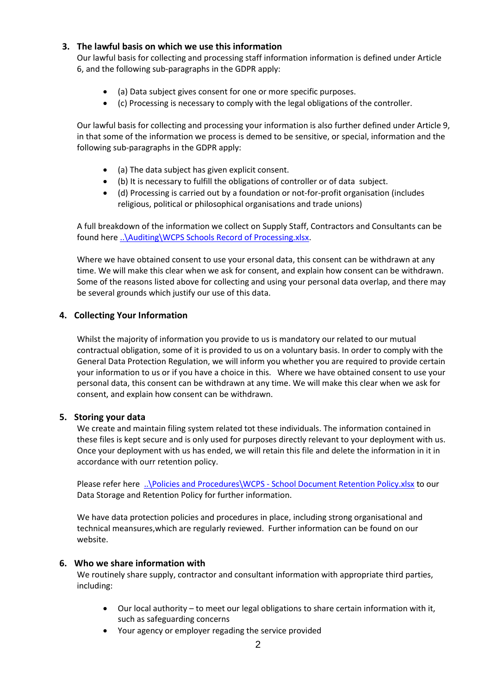#### **3. The lawful basis on which we use this information**

Our lawful basis for collecting and processing staff information information is defined under Article 6, and the following sub-paragraphs in the GDPR apply:

- (a) Data subject gives consent for one or more specific purposes.
- (c) Processing is necessary to comply with the legal obligations of the controller.

Our lawful basis for collecting and processing your information is also further defined under Article 9, in that some of the information we process is demed to be sensitive, or special, information and the following sub-paragraphs in the GDPR apply:

- (a) The data subject has given explicit consent.
- (b) It is necessary to fulfill the obligations of controller or of data subject.
- (d) Processing is carried out by a foundation or not-for-profit organisation (includes religious, political or philosophical organisations and trade unions)

A full breakdown of the information we collect on Supply Staff, Contractors and Consultants can be found here [..\Auditing\WCPS Schools Record of Processing.xlsx.](../Auditing/WCPS%20Schools%20Record%20of%20Processing.xlsx)

Where we have obtained consent to use your ersonal data, this consent can be withdrawn at any time. We will make this clear when we ask for consent, and explain how consent can be withdrawn. Some of the reasons listed above for collecting and using your personal data overlap, and there may be several grounds which justify our use of this data.

#### **4. Collecting Your Information**

Whilst the majority of information you provide to us is mandatory our related to our mutual contractual obligation, some of it is provided to us on a voluntary basis. In order to comply with the General Data Protection Regulation, we will inform you whether you are required to provide certain your information to us or if you have a choice in this. Where we have obtained consent to use your personal data, this consent can be withdrawn at any time. We will make this clear when we ask for consent, and explain how consent can be withdrawn.

#### **5. Storing your data**

We create and maintain filing system related tot these individuals. The information contained in these files is kept secure and is only used for purposes directly relevant to your deployment with us. Once your deployment with us has ended, we will retain this file and delete the information in it in accordance with ourr retention policy.

Please refer here ..\Policies and Procedures\WCPS - [School Document Retention Policy.xlsx](../Policies%20and%20Procedures/WCPS%20-%20School%20Document%20Retention%20Policy.xlsx) to our Data Storage and Retention Policy for further information.

We have data protection policies and procedures in place, including strong organisational and technical meansures,which are regularly reviewed. Further information can be found on our website.

#### **6. Who we share information with**

We routinely share supply, contractor and consultant information with appropriate third parties, including:

- Our local authority to meet our legal obligations to share certain information with it, such as safeguarding concerns
- Your agency or employer regading the service provided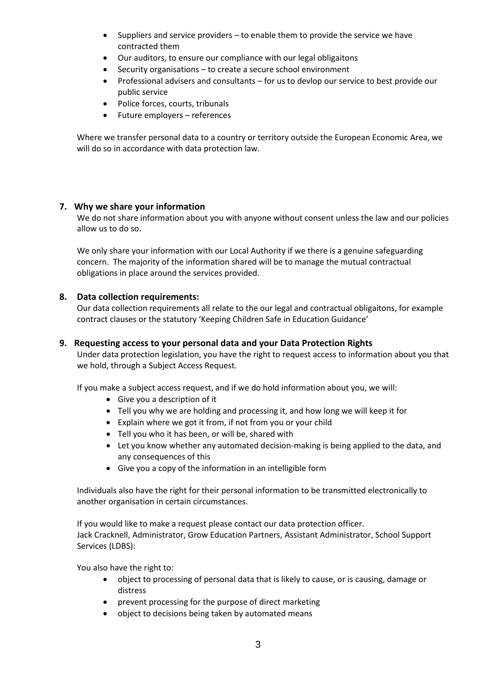- Suppliers and service providers to enable them to provide the service we have contracted them
- Our auditors, to ensure our compliance with our legal obligaitons
- Security organisations to create a secure school environment
- Professional advisers and consultants for us to devlop our service to best provide our public service
- Police forces, courts, tribunals
- Future employers references

Where we transfer personal data to a country or territory outside the European Economic Area, we will do so in accordance with data protection law.

#### **7. Why we share your information**

We do not share information about you with anyone without consent unless the law and our policies allow us to do so.

We only share your information with our Local Authority if we there is a genuine safeguarding concern. The majority of the information shared will be to manage the mutual contractual obligations in place around the services provided.

#### **8. Data collection requirements:**

Our data collection requirements all relate to the our legal and contractual obligaitons, for example contract clauses or the statutory 'Keeping Children Safe in Education Guidance'

#### **9. Requesting access to your personal data and your Data Protection Rights**

Under data protection legislation, you have the right to request access to information about you that we hold, through a Subject Access Request.

If you make a subject access request, and if we do hold information about you, we will:

- Give you a description of it
- Tell you why we are holding and processing it, and how long we will keep it for
- Explain where we got it from, if not from you or your child
- Tell you who it has been, or will be, shared with
- Let you know whether any automated decision-making is being applied to the data, and any consequences of this
- Give you a copy of the information in an intelligible form

Individuals also have the right for their personal information to be transmitted electronically to another organisation in certain circumstances.

If you would like to make a request please contact our data protection officer. Jack Cracknell, Administrator, Grow Education Partners, Assistant Administrator, School Support Services (LDBS):

You also have the right to:

- object to processing of personal data that is likely to cause, or is causing, damage or distress
- prevent processing for the purpose of direct marketing
- object to decisions being taken by automated means